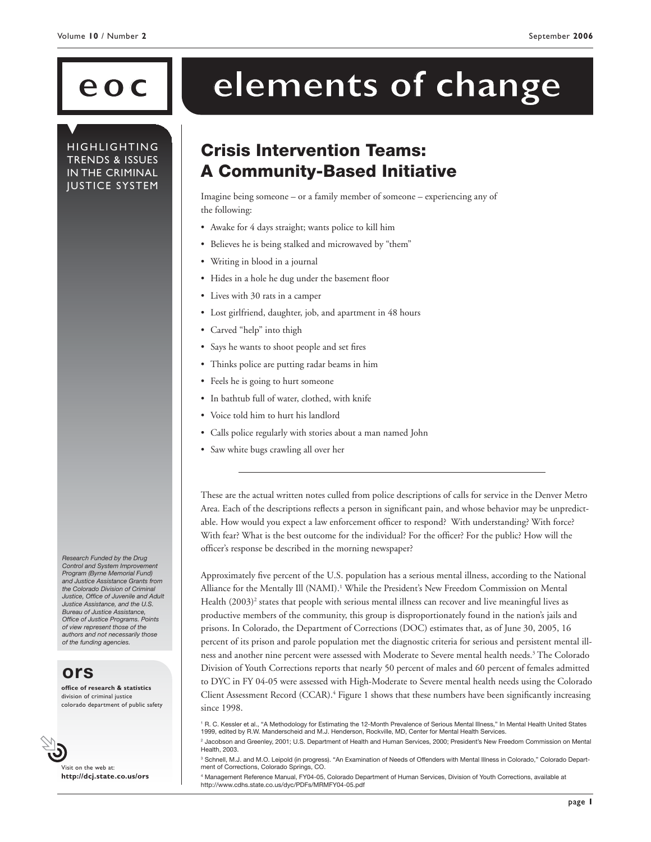**HIGHLIGHTING** TRENDS & ISSUES IN THE CRIMINAL JUSTICE SYSTEM

# eoc **dements of change**

# Crisis Intervention Teams: A Community-Based Initiative

Imagine being someone – or a family member of someone – experiencing any of the following:

- Awake for 4 days straight; wants police to kill him
- Believes he is being stalked and microwaved by "them"
- Writing in blood in a journal
- Hides in a hole he dug under the basement floor
- Lives with 30 rats in a camper
- Lost girlfriend, daughter, job, and apartment in 48 hours
- Carved "help" into thigh
- Says he wants to shoot people and set fires
- Thinks police are putting radar beams in him
- Feels he is going to hurt someone
- In bathtub full of water, clothed, with knife
- Voice told him to hurt his landlord
- Calls police regularly with stories about a man named John
- Saw white bugs crawling all over her

These are the actual written notes culled from police descriptions of calls for service in the Denver Metro Area. Each of the descriptions reflects a person in significant pain, and whose behavior may be unpredictable. How would you expect a law enforcement officer to respond? With understanding? With force? With fear? What is the best outcome for the individual? For the officer? For the public? How will the officer's response be described in the morning newspaper?

Approximately five percent of the U.S. population has a serious mental illness, according to the National Alliance for the Mentally Ill (NAMI).<sup>1</sup> While the President's New Freedom Commission on Mental Health (2003)<sup>2</sup> states that people with serious mental illness can recover and live meaningful lives as productive members of the community, this group is disproportionately found in the nation's jails and prisons. In Colorado, the Department of Corrections (DOC) estimates that, as of June 30, 2005, 16 percent of its prison and parole population met the diagnostic criteria for serious and persistent mental illness and another nine percent were assessed with Moderate to Severe mental health needs.<sup>3</sup> The Colorado Division of Youth Corrections reports that nearly 50 percent of males and 60 percent of females admitted to DYC in FY 04-05 were assessed with High-Moderate to Severe mental health needs using the Colorado Client Assessment Record (CCAR).4 Figure 1 shows that these numbers have been significantly increasing since 1998.

*Research Funded by the Drug Control and System Improvement Program (Byrne Memorial Fund) and Justice Assistance Grants from the Colorado Division of Criminal Justice, Office of Juvenile and Adult Justice Assistance, and the U.S. Bureau of Justice Assistance, Office of Justice Programs. Points of view represent those of the authors and not necessarily those of the funding agencies.*

## **ors**

**office of research & statistics** division of criminal justice colorado department of public safety



Visit on the web at: **http://dcj.state.co.us/ors**

<sup>1</sup> R. C. Kessler et al., "A Methodology for Estimating the 12-Month Prevalence of Serious Mental Illness," In Mental Health United States 1999, edited by R.W. Manderscheid and M.J. Henderson, Rockville, MD, Center for Mental Health Services.

<sup>2</sup> Jacobson and Greenley, 2001; U.S. Department of Health and Human Services, 2000; President's New Freedom Commission on Mental Health, 2003.

<sup>3</sup> Schnell, M.J. and M.O. Leipold (in progress). "An Examination of Needs of Offenders with Mental Illness in Colorado," Colorado Department of Corrections, Colorado Springs, CO.

<sup>4</sup> Management Reference Manual, FY04-05, Colorado Department of Human Services, Division of Youth Corrections, available at http://www.cdhs.state.co.us/dyc/PDFs/MRMFY04-05.pdf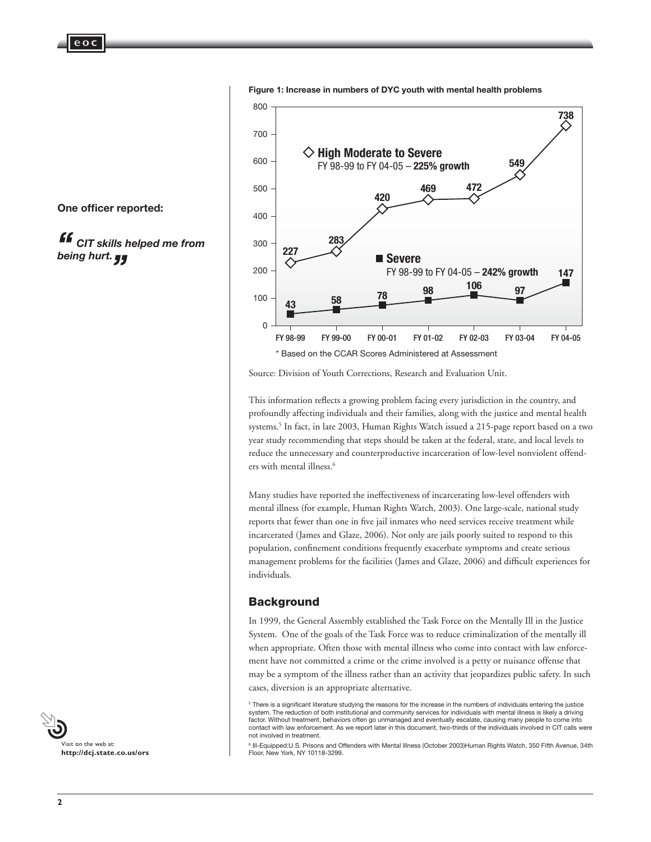**eo c**



**Figure 1: Increase in numbers of DYC youth with mental health problems**

Source: Division of Youth Corrections, Research and Evaluation Unit.

This information reflects a growing problem facing every jurisdiction in the country, and profoundly affecting individuals and their families, along with the justice and mental health systems.<sup>5</sup> In fact, in late 2003, Human Rights Watch issued a 215-page report based on a two year study recommending that steps should be taken at the federal, state, and local levels to reduce the unnecessary and counterproductive incarceration of low-level nonviolent offenders with mental illness.6

Many studies have reported the ineffectiveness of incarcerating low-level offenders with mental illness (for example, Human Rights Watch, 2003). One large-scale, national study reports that fewer than one in five jail inmates who need services receive treatment while incarcerated (James and Glaze, 2006). Not only are jails poorly suited to respond to this population, confinement conditions frequently exacerbate symptoms and create serious management problems for the facilities (James and Glaze, 2006) and difficult experiences for individuals.

#### **Background**

In 1999, the General Assembly established the Task Force on the Mentally Ill in the Justice System. One of the goals of the Task Force was to reduce criminalization of the mentally ill when appropriate. Often those with mental illness who come into contact with law enforcement have not committed a crime or the crime involved is a petty or nuisance offense that may be a symptom of the illness rather than an activity that jeopardizes public safety. In such cases, diversion is an appropriate alternative.



 *CIT skills helped me from being hurt. "* **ff**<br>bei



<sup>&</sup>lt;sup>5</sup> There is a significant literature studying the reasons for the increase in the numbers of individuals entering the justice system. The reduction of both institutional and community services for individuals with mental illness is likely a driving factor. Without treatment, behaviors often go unmanaged and eventually escalate, causing many people to come into contact with law enforcement. As we report later in this document, two-thirds of the individuals involved in CIT calls were not involved in treatment.

<sup>6</sup> Ill-Equipped:U.S. Prisons and Offenders with Mental Illness (October 2003)Human Rights Watch, 350 Fifth Avenue, 34th Floor, New York, NY 10118-3299.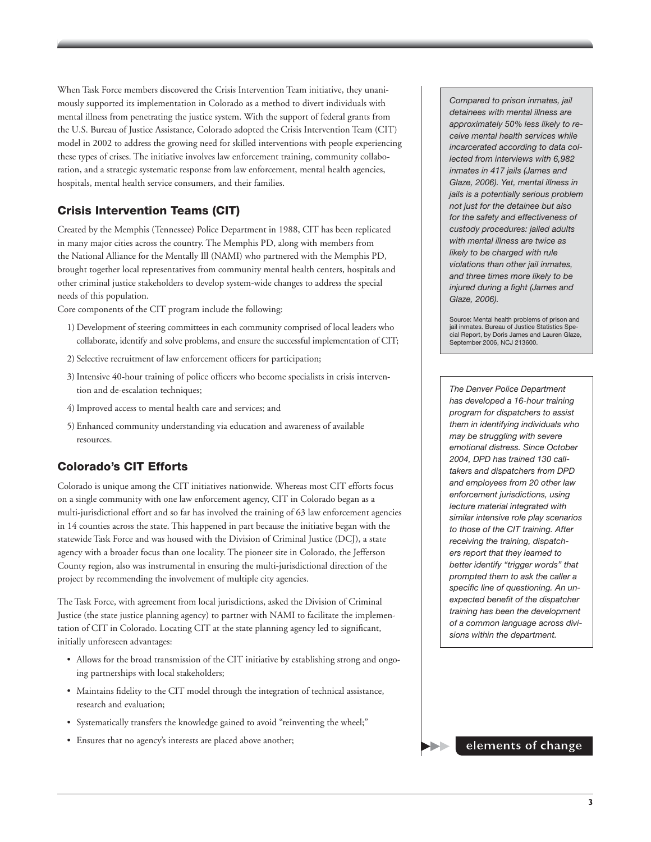When Task Force members discovered the Crisis Intervention Team initiative, they unanimously supported its implementation in Colorado as a method to divert individuals with mental illness from penetrating the justice system. With the support of federal grants from the U.S. Bureau of Justice Assistance, Colorado adopted the Crisis Intervention Team (CIT) model in 2002 to address the growing need for skilled interventions with people experiencing these types of crises. The initiative involves law enforcement training, community collaboration, and a strategic systematic response from law enforcement, mental health agencies, hospitals, mental health service consumers, and their families.

#### Crisis Intervention Teams (CIT)

Created by the Memphis (Tennessee) Police Department in 1988, CIT has been replicated in many major cities across the country. The Memphis PD, along with members from the National Alliance for the Mentally Ill (NAMI) who partnered with the Memphis PD, brought together local representatives from community mental health centers, hospitals and other criminal justice stakeholders to develop system-wide changes to address the special needs of this population.

Core components of the CIT program include the following:

- 1) Development of steering committees in each community comprised of local leaders who collaborate, identify and solve problems, and ensure the successful implementation of CIT;
- 2) Selective recruitment of law enforcement officers for participation;
- 3) Intensive 40-hour training of police officers who become specialists in crisis intervention and de-escalation techniques;
- 4) Improved access to mental health care and services; and
- 5) Enhanced community understanding via education and awareness of available resources.

### Colorado's CIT Efforts

Colorado is unique among the CIT initiatives nationwide. Whereas most CIT efforts focus on a single community with one law enforcement agency, CIT in Colorado began as a multi-jurisdictional effort and so far has involved the training of 63 law enforcement agencies in 14 counties across the state. This happened in part because the initiative began with the statewide Task Force and was housed with the Division of Criminal Justice (DCJ), a state agency with a broader focus than one locality. The pioneer site in Colorado, the Jefferson County region, also was instrumental in ensuring the multi-jurisdictional direction of the project by recommending the involvement of multiple city agencies.

The Task Force, with agreement from local jurisdictions, asked the Division of Criminal Justice (the state justice planning agency) to partner with NAMI to facilitate the implementation of CIT in Colorado. Locating CIT at the state planning agency led to significant, initially unforeseen advantages:

- Allows for the broad transmission of the CIT initiative by establishing strong and ongoing partnerships with local stakeholders;
- Maintains fidelity to the CIT model through the integration of technical assistance, research and evaluation;
- Systematically transfers the knowledge gained to avoid "reinventing the wheel;"
- Ensures that no agency's interests are placed above another;

*Compared to prison inmates, jail detainees with mental illness are approximately 50% less likely to receive mental health services while incarcerated according to data collected from interviews with 6,982 inmates in 417 jails (James and Glaze, 2006). Yet, mental illness in jails is a potentially serious problem not just for the detainee but also for the safety and effectiveness of custody procedures: jailed adults with mental illness are twice as likely to be charged with rule violations than other jail inmates, and three times more likely to be injured during a fight (James and Glaze, 2006).* 

Source: Mental health problems of prison and jail inmates. Bureau of Justice Statistics Special Report, by Doris James and Lauren Glaze, September 2006, NCJ 213600.

*The Denver Police Department has developed a 16-hour training program for dispatchers to assist them in identifying individuals who may be struggling with severe emotional distress. Since October 2004, DPD has trained 130 calltakers and dispatchers from DPD and employees from 20 other law enforcement jurisdictions, using lecture material integrated with similar intensive role play scenarios to those of the CIT training. After receiving the training, dispatchers report that they learned to better identify "trigger words" that prompted them to ask the caller a specific line of questioning. An unexpected benefit of the dispatcher training has been the development of a common language across divisions within the department.*

**elements of change**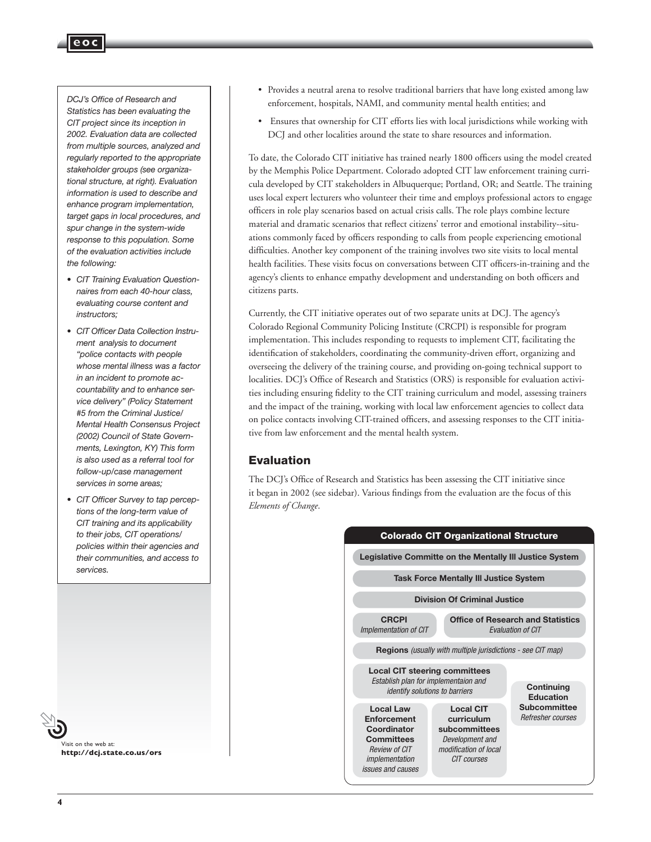#### *DCJ's Office of Research and Statistics has been evaluating the CIT project since its inception in 2002. Evaluation data are collected from multiple sources, analyzed and regularly reported to the appropriate stakeholder groups (see organizational structure, at right). Evaluation information is used to describe and enhance program implementation, target gaps in local procedures, and spur change in the system-wide response to this population. Some of the evaluation activities include the following:*

**eoc**

- *• CIT Training Evaluation Questionnaires from each 40-hour class, evaluating course content and instructors;*
- *• CIT Officer Data Collection Instrument analysis to document "police contacts with people whose mental illness was a factor in an incident to promote accountability and to enhance service delivery" (Policy Statement #5 from the Criminal Justice/ Mental Health Consensus Project (2002) Council of State Governments, Lexington, KY) This form is also used as a referral tool for follow-up/case management services in some areas;*
- *• CIT Officer Survey to tap perceptions of the long-term value of CIT training and its applicability to their jobs, CIT operations/ policies within their agencies and their communities, and access to services.*
- 

Visit on the web at: **http://dcj.state.co.us/ors**

- Provides a neutral arena to resolve traditional barriers that have long existed among law enforcement, hospitals, NAMI, and community mental health entities; and
- Ensures that ownership for CIT efforts lies with local jurisdictions while working with DCJ and other localities around the state to share resources and information.

To date, the Colorado CIT initiative has trained nearly 1800 officers using the model created by the Memphis Police Department. Colorado adopted CIT law enforcement training curricula developed by CIT stakeholders in Albuquerque; Portland, OR; and Seattle. The training uses local expert lecturers who volunteer their time and employs professional actors to engage officers in role play scenarios based on actual crisis calls. The role plays combine lecture material and dramatic scenarios that reflect citizens' terror and emotional instability--situations commonly faced by officers responding to calls from people experiencing emotional difficulties. Another key component of the training involves two site visits to local mental health facilities. These visits focus on conversations between CIT officers-in-training and the agency's clients to enhance empathy development and understanding on both officers and citizens parts.

Currently, the CIT initiative operates out of two separate units at DCJ. The agency's Colorado Regional Community Policing Institute (CRCPI) is responsible for program implementation. This includes responding to requests to implement CIT, facilitating the identification of stakeholders, coordinating the community-driven effort, organizing and overseeing the delivery of the training course, and providing on-going technical support to localities. DCJ's Office of Research and Statistics (ORS) is responsible for evaluation activities including ensuring fidelity to the CIT training curriculum and model, assessing trainers and the impact of the training, working with local law enforcement agencies to collect data on police contacts involving CIT-trained officers, and assessing responses to the CIT initiative from law enforcement and the mental health system.

#### Evaluation

The DCJ's Office of Research and Statistics has been assessing the CIT initiative since it began in 2002 (see sidebar). Various findings from the evaluation are the focus of this *Elements of Change*.

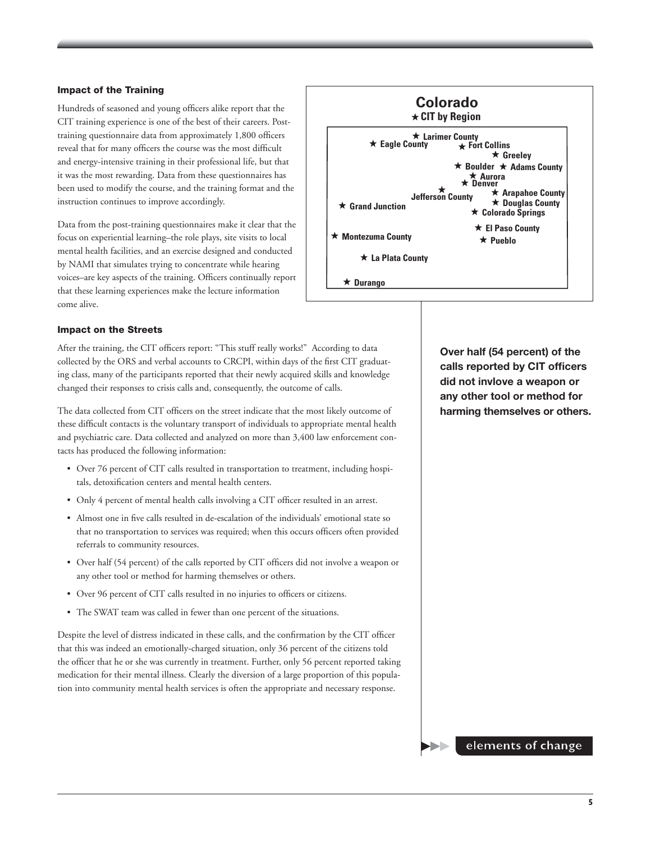#### Impact of the Training

Hundreds of seasoned and young officers alike report that the CIT training experience is one of the best of their careers. Posttraining questionnaire data from approximately 1,800 officers reveal that for many officers the course was the most difficult and energy-intensive training in their professional life, but that it was the most rewarding. Data from these questionnaires has been used to modify the course, and the training format and the instruction continues to improve accordingly.

Data from the post-training questionnaires make it clear that the focus on experiential learning–the role plays, site visits to local mental health facilities, and an exercise designed and conducted by NAMI that simulates trying to concentrate while hearing voices–are key aspects of the training. Officers continually report that these learning experiences make the lecture information come alive.



#### Impact on the Streets

After the training, the CIT officers report: "This stuff really works!" According to data collected by the ORS and verbal accounts to CRCPI, within days of the first CIT graduating class, many of the participants reported that their newly acquired skills and knowledge changed their responses to crisis calls and, consequently, the outcome of calls.

The data collected from CIT officers on the street indicate that the most likely outcome of these difficult contacts is the voluntary transport of individuals to appropriate mental health and psychiatric care. Data collected and analyzed on more than 3,400 law enforcement contacts has produced the following information:

- Over 76 percent of CIT calls resulted in transportation to treatment, including hospitals, detoxification centers and mental health centers.
- Only 4 percent of mental health calls involving a CIT officer resulted in an arrest.
- Almost one in five calls resulted in de-escalation of the individuals' emotional state so that no transportation to services was required; when this occurs officers often provided referrals to community resources.
- Over half (54 percent) of the calls reported by CIT officers did not involve a weapon or any other tool or method for harming themselves or others.
- Over 96 percent of CIT calls resulted in no injuries to officers or citizens.
- The SWAT team was called in fewer than one percent of the situations.

Despite the level of distress indicated in these calls, and the confirmation by the CIT officer that this was indeed an emotionally-charged situation, only 36 percent of the citizens told the officer that he or she was currently in treatment. Further, only 56 percent reported taking medication for their mental illness. Clearly the diversion of a large proportion of this population into community mental health services is often the appropriate and necessary response.

**Over half (54 percent) of the calls reported by CIT officers did not invlove a weapon or any other tool or method for harming themselves or others.**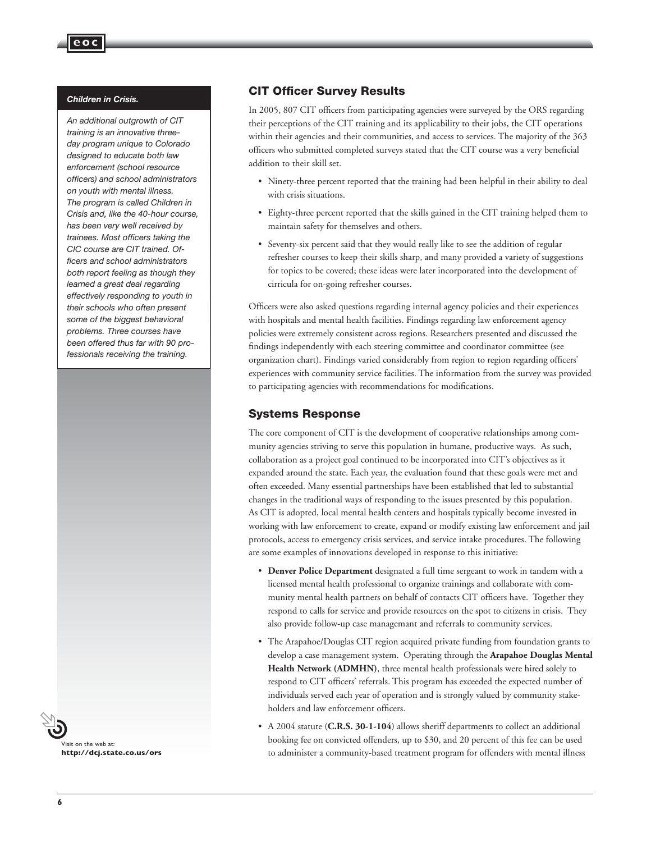#### *Children in Crisis.*

**eoc**

*An additional outgrowth of CIT training is an innovative threeday program unique to Colorado designed to educate both law enforcement (school resource officers) and school administrators on youth with mental illness. The program is called Children in Crisis and, like the 40-hour course, has been very well received by trainees. Most officers taking the CIC course are CIT trained. Officers and school administrators both report feeling as though they learned a great deal regarding effectively responding to youth in their schools who often present some of the biggest behavioral problems. Three courses have been offered thus far with 90 professionals receiving the training.*

Visit on the web at: **http://dcj.state.co.us/ors**

#### CIT Officer Survey Results

In 2005, 807 CIT officers from participating agencies were surveyed by the ORS regarding their perceptions of the CIT training and its applicability to their jobs, the CIT operations within their agencies and their communities, and access to services. The majority of the 363 officers who submitted completed surveys stated that the CIT course was a very beneficial addition to their skill set.

- Ninety-three percent reported that the training had been helpful in their ability to deal with crisis situations.
- Eighty-three percent reported that the skills gained in the CIT training helped them to maintain safety for themselves and others.
- Seventy-six percent said that they would really like to see the addition of regular refresher courses to keep their skills sharp, and many provided a variety of suggestions for topics to be covered; these ideas were later incorporated into the development of cirricula for on-going refresher courses.

Officers were also asked questions regarding internal agency policies and their experiences with hospitals and mental health facilities. Findings regarding law enforcement agency policies were extremely consistent across regions. Researchers presented and discussed the findings independently with each steering committee and coordinator committee (see organization chart). Findings varied considerably from region to region regarding officers' experiences with community service facilities. The information from the survey was provided to participating agencies with recommendations for modifications.

#### Systems Response

The core component of CIT is the development of cooperative relationships among community agencies striving to serve this population in humane, productive ways. As such, collaboration as a project goal continued to be incorporated into CIT's objectives as it expanded around the state. Each year, the evaluation found that these goals were met and often exceeded. Many essential partnerships have been established that led to substantial changes in the traditional ways of responding to the issues presented by this population. As CIT is adopted, local mental health centers and hospitals typically become invested in working with law enforcement to create, expand or modify existing law enforcement and jail protocols, access to emergency crisis services, and service intake procedures. The following are some examples of innovations developed in response to this initiative:

- **Denver Police Department** designated a full time sergeant to work in tandem with a licensed mental health professional to organize trainings and collaborate with community mental health partners on behalf of contacts CIT officers have. Together they respond to calls for service and provide resources on the spot to citizens in crisis. They also provide follow-up case managemant and referrals to community services.
- The Arapahoe/Douglas CIT region acquired private funding from foundation grants to develop a case management system. Operating through the **Arapahoe Douglas Mental Health Network (ADMHN)**, three mental health professionals were hired solely to respond to CIT officers' referrals. This program has exceeded the expected number of individuals served each year of operation and is strongly valued by community stakeholders and law enforcement officers.
- A 2004 statute (**C.R.S. 30-1-104**) allows sheriff departments to collect an additional booking fee on convicted offenders, up to \$30, and 20 percent of this fee can be used to administer a community-based treatment program for offenders with mental illness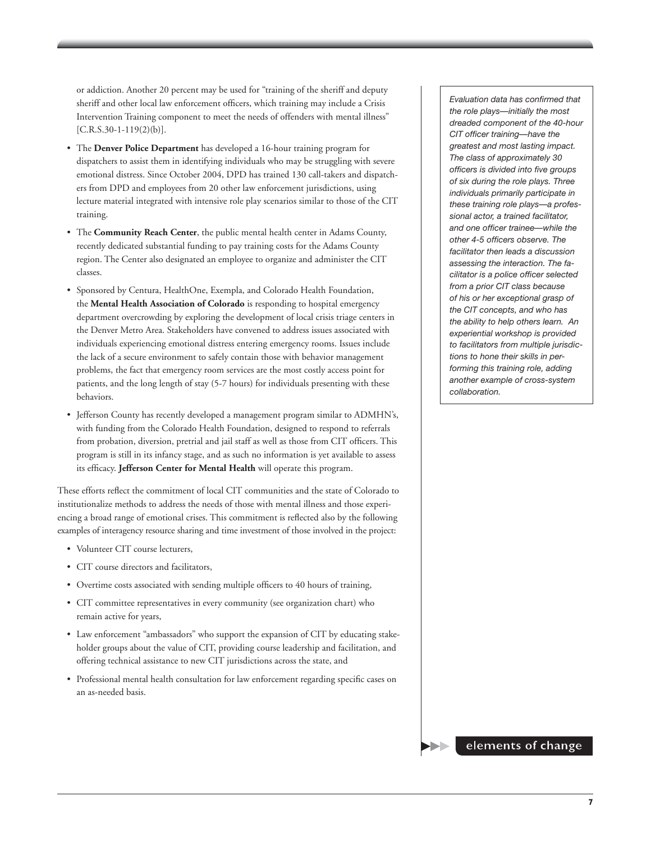or addiction. Another 20 percent may be used for "training of the sheriff and deputy sheriff and other local law enforcement officers, which training may include a Crisis Intervention Training component to meet the needs of offenders with mental illness"  $[C.R.S.30-1-119(2)(b)].$ 

- The **Denver Police Department** has developed a 16-hour training program for dispatchers to assist them in identifying individuals who may be struggling with severe emotional distress. Since October 2004, DPD has trained 130 call-takers and dispatchers from DPD and employees from 20 other law enforcement jurisdictions, using lecture material integrated with intensive role play scenarios similar to those of the CIT training.
- The **Community Reach Center**, the public mental health center in Adams County, recently dedicated substantial funding to pay training costs for the Adams County region. The Center also designated an employee to organize and administer the CIT classes.
- Sponsored by Centura, HealthOne, Exempla, and Colorado Health Foundation, the **Mental Health Association of Colorado** is responding to hospital emergency department overcrowding by exploring the development of local crisis triage centers in the Denver Metro Area. Stakeholders have convened to address issues associated with individuals experiencing emotional distress entering emergency rooms. Issues include the lack of a secure environment to safely contain those with behavior management problems, the fact that emergency room services are the most costly access point for patients, and the long length of stay (5-7 hours) for individuals presenting with these behaviors.
- Jefferson County has recently developed a management program similar to ADMHN's, with funding from the Colorado Health Foundation, designed to respond to referrals from probation, diversion, pretrial and jail staff as well as those from CIT officers. This program is still in its infancy stage, and as such no information is yet available to assess its efficacy. **Jefferson Center for Mental Health** will operate this program.

These efforts reflect the commitment of local CIT communities and the state of Colorado to institutionalize methods to address the needs of those with mental illness and those experiencing a broad range of emotional crises. This commitment is reflected also by the following examples of interagency resource sharing and time investment of those involved in the project:

- Volunteer CIT course lecturers,
- CIT course directors and facilitators,
- Overtime costs associated with sending multiple officers to 40 hours of training,
- CIT committee representatives in every community (see organization chart) who remain active for years,
- Law enforcement "ambassadors" who support the expansion of CIT by educating stakeholder groups about the value of CIT, providing course leadership and facilitation, and offering technical assistance to new CIT jurisdictions across the state, and
- Professional mental health consultation for law enforcement regarding specific cases on an as-needed basis.

*Evaluation data has confirmed that the role plays—initially the most dreaded component of the 40-hour CIT officer training—have the greatest and most lasting impact. The class of approximately 30 officers is divided into five groups of six during the role plays. Three individuals primarily participate in these training role plays—a professional actor, a trained facilitator, and one officer trainee—while the other 4-5 officers observe. The facilitator then leads a discussion assessing the interaction. The facilitator is a police officer selected from a prior CIT class because of his or her exceptional grasp of the CIT concepts, and who has the ability to help others learn. An experiential workshop is provided to facilitators from multiple jurisdictions to hone their skills in performing this training role, adding another example of cross-system collaboration.* 

#### **elements of change**